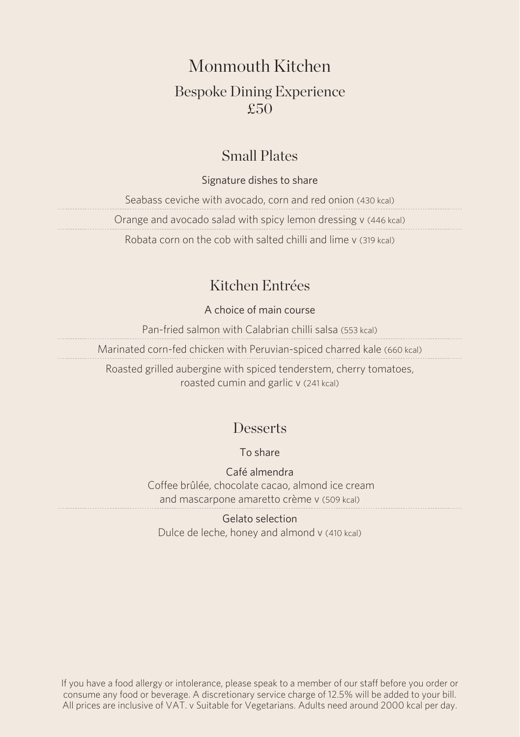## Monmouth Kitchen

## Bespoke Dining Experience £50

### Small Plates

### Signature dishes to share

Seabass ceviche with avocado, corn and red onion (430 kcal) Orange and avocado salad with spicy lemon dressing v (446 kcal) Robata corn on the cob with salted chilli and lime v (319 kcal)

## Kitchen Entrées

### A choice of main course

Pan-fried salmon with Calabrian chilli salsa (553 kcal) Marinated corn-fed chicken with Peruvian-spiced charred kale (660 kcal) Roasted grilled aubergine with spiced tenderstem, cherry tomatoes,

roasted cumin and garlic v (241 kcal)

### **Desserts**

To share

Café almendra Coffee brûlée, chocolate cacao, almond ice cream and mascarpone amaretto crème v (509 kcal)

Gelato selection Dulce de leche, honey and almond v (410 kcal)

If you have a food allergy or intolerance, please speak to a member of our staff before you order or consume any food or beverage. A discretionary service charge of 12.5% will be added to your bill. All prices are inclusive of VAT. v Suitable for Vegetarians. Adults need around 2000 kcal per day.